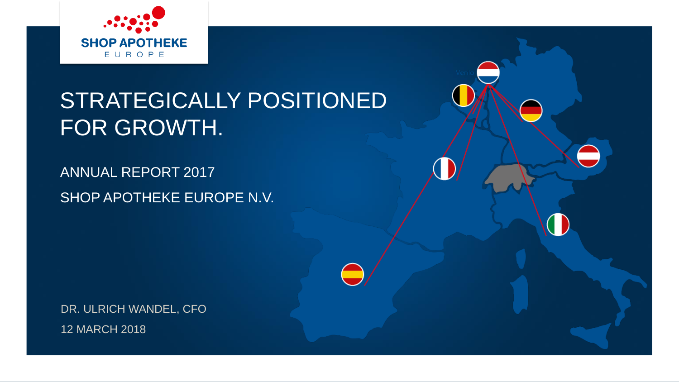

## STRATEGICALLY POSITIONED FOR GROWTH.

ANNUAL REPORT 2017 SHOP APOTHEKE EUROPE N.V.

DR. ULRICH WANDEL, CFO 12 MARCH 2018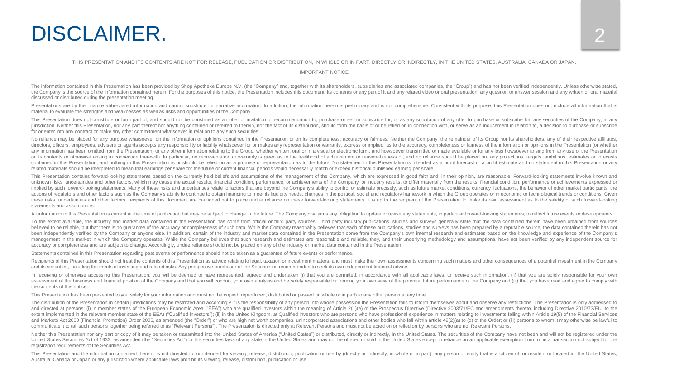## DISCLAIMER.

#### THIS PRESENTATION AND ITS CONTENTS ARE NOT FOR RELEASE, PUBLICATION OR DISTRIBUTION, IN WHOLE OR IN PART, DIRECTLY OR INDIRECTLY, IN THE UNITED STATES, AUSTRALIA, CANADA OR JAPAN.

IMPORTANT NOTICE

The information contained in this Presentation has been provided by Shop Apotheke Europe N.V. (the "Company" and, together with its shareholders, subsidiaries and associated companies, the "Group") and has not been verifie the Company is the source of the information contained herein. For the purposes of this notice, the Presentation includes this document, its contents or any part of it and any related video or oral presentation, any questi discussed or distributed during the presentation meeting.

Presentations are by their nature abbreviated information and cannot substitute for narrative information. In addition, the information herein is preliminary and is not comprehensive. Consistent with its purpose, this Pres material to evaluate the strengths and weaknesses as well as risks and opportunities of the Company.

This Presentation does not constitute or form part of, and should not be construed as an offer or invitation or recommendation to, purchase or sell or subscribe for, or as any solicitation of any offer to purchase or subsc jurisdiction. Neither this Presentation, nor any part thereof nor anything contained or referred to therein, nor the fact of its distribution, should form the basis of or be relied on in connection with, or serve as an ind for or enter into any contract or make any other commitment whatsoever in relation to any such securities.

No reliance may be placed for any purpose whatsoever on the information or opinions contained in the Presentation or on its completeness, accuracy or fairness. Neither the Company, the remainder of its Group nor its shareh directors, officers, emplovees, advisers or agents accepts any responsibility or liability whatsoever for or makes any representation or warranty, express or implied, as to the accuracy, completeness or fairness of the inf any information has been omitted from the Presentation) or any other information relating to the Group, whether written, oral or in a visual or electronic form, and howsoever transmitted or made available or for any loss h or its contents or otherwise arising in connection therewith. In particular, no representation or warranty is given as to the likelihood of achievement or reasonableness of, and no reliance should be placed on, any project contained in this Presentation, and nothing in this Presentation is or should be relied on as a promise or representation as to the future. No statement in this Presentation is intended as a profit forecast or a profit est related materials should be interpreted to mean that earnings per share for the future or current financial periods would necessarily match or exceed historical published earning per share.

This Presentation contains forward-looking statements based on the currently held beliefs and assumptions of the management of the Company, which are expressed in good faith and, in their opinion, are reasonable. Forward-l unknown risks, uncertainties and other factors, which may cause the actual results, financial condition, performance, or achievements of the Company, or industry results, to differ materially from the results, financial co implied by such forward-looking statements. Many of these risks and uncertainties relate to factors that are beyond the Company's ability to control or estimate precisely, such as future market conditions, currency fluctua actions of requlators and other factors such as the Company's ability to continue to obtain financing to meet its liquidity needs, changes in the political, social and requlatory framework in which the Group operates or in these risks, uncertainties and other factors, recipients of this document are cautioned not to place undue reliance on these forward-looking statements. It is up to the recipient of the Presentation to make its own assessm statements and assumptions.

All information in this Presentation is current at the time of publication but may be subject to change in the future. The Company disclaims any obligation to update or revise any statements, in particular forward-looking

To the extent available, the industry and market data contained in the Presentation has come from official or third party sources. Third party industry publications, studies and surveys generally state that the data contai believed to be reliable, but that there is no quarantee of the accuracy or completeness of such data. While the Company reasonably believes that each of these publications, studies and surveys has been prepared by a reputa been independently verified by the Company or anyone else. In addition, certain of the industry and market data contained in the Presentation come from the Company's own internal research and estimates based on the knowled management in the market in which the Company operates. While the Company believes that such research and estimates are reasonable and reliable, they, and their underlying methodology and assumptions, have not been verifie accuracy or completeness and are subject to change. Accordingly, undue reliance should not be placed on any of the industry or market data contained in the Presentation.

Statements contained in this Presentation regarding past events or performance should not be taken as a guarantee of future events or performance.

Recipients of this Presentation should not treat the contents of this Presentation as advice relating to legal, taxation or investment matters, and must make their own assessments concerning such matters and other conseque and its securities, including the merits of investing and related risks. Any prospective purchaser of the Securities is recommended to seek its own independent financial advice.

In receiving or otherwise accessing this Presentation, you will be deemed to have represented, agreed and undertaken (i) that you are permitted, in accordance with all applicable laws, to receive such information, (ii) tha assessment of the business and financial position of the Company and that you will conduct your own analysis and be solely responsible for forming your own view of the potential future performance of the Company and (iii) the contents of this notice.

This Presentation has been presented to you solely for your information and must not be copied, reproduced, distributed or passed (in whole or in part) to any other person at any time.

The distribution of the Presentation in certain jurisdictions may be restricted and accordingly it is the responsibility of any person into whose possession the Presentation falls to inform themselves about and observe any and directed at persons: (i) in member states of the European Economic Area ("EEA") who are qualified investors within the meaning of Article 2(1)(e) of the Prospectus Directive (Directive 2003/71/EC and amendments thereto extent implemented in the relevant member state of the EEA) ("Qualified Investors"); (ii) in the United Kingdom, at Qualified Investors who are persons who have professional experience in matters relating to investments fa and Markets Act 2000 (Financial Promotion) Order 2005, as amended (the "Order") or who are high net worth companies, unincorporated associations and other bodies who fall within article 49(2)(a) to (d) of the Order; or (ii communicate it to (all such persons together being referred to as "Relevant Persons"). The Presentation is directed only at Relevant Persons and must not be acted on or relied on by persons who are not Relevant Persons.

Neither this Presentation nor any part or copy of it may be taken or transmitted into the United States of America ("United States") or distributed, directly or indirectly, in the United States. The securities of the Compa United States Securities Act of 1933, as amended (the "Securities Act") or the securities laws of any state in the United States and may not be offered or sold in the United States except in reliance on an applicable exemp registration requirements of the Securities Act.

This Presentation and the information contained therein, is not directed to, or intended for viewing, release, distribution, publication or use by (directly or indirectly, in whole or in part), any person or entity that is Australia, Canada or Japan or any jurisdiction where applicable laws prohibit its viewing, release, distribution, publication or use.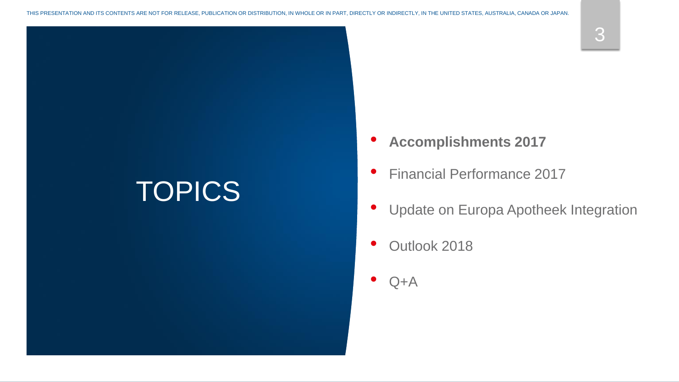# **TOPICS**

- **Accomplishments 2017**
- Financial Performance 2017
- Update on Europa Apotheek Integration
- Outlook 2018
- $Q+A$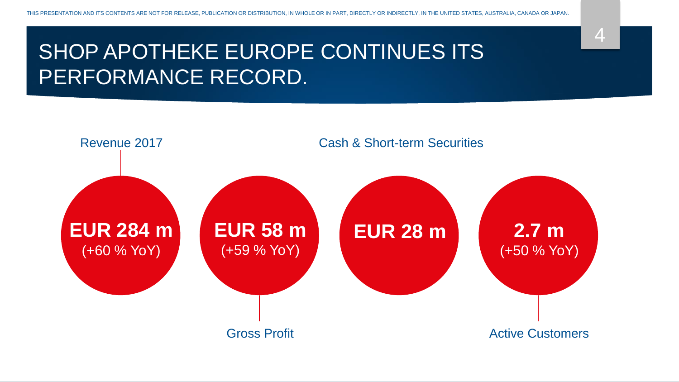## SHOP APOTHEKE EUROPE CONTINUES ITS PERFORMANCE RECORD.

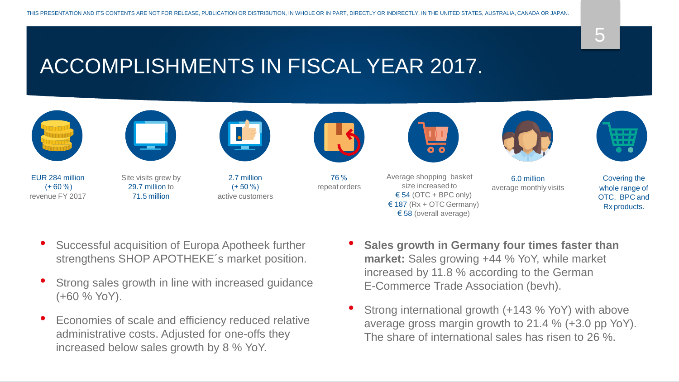## ACCOMPLISHMENTS IN FISCAL YEAR 2017.



- Successful acquisition of Europa Apotheek further strengthens SHOP APOTHEKE´s market position.
- Strong sales growth in line with increased guidance (+60 % YoY).
- Economies of scale and efficiency reduced relative administrative costs. Adjusted for one-offs they increased below sales growth by 8 % YoY.
- **Sales growth in Germany four times faster than market:** Sales growing +44 % YoY, while market increased by 11.8 % according to the German E-Commerce Trade Association (bevh).
- Strong international growth (+143 % YoY) with above average gross margin growth to 21.4 % (+3.0 pp YoY). The share of international sales has risen to 26 %.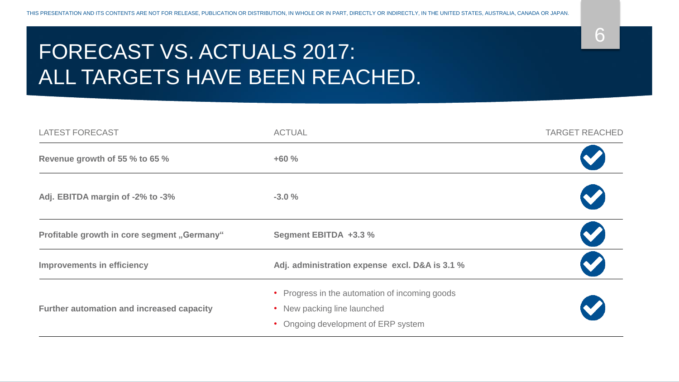## FORECAST VS. ACTUALS 2017: ALL TARGETS HAVE BEEN REACHED.

| <b>LATEST FORECAST</b>                      | <b>ACTUAL</b>                                                                                                      | <b>TARGET REACHED</b> |
|---------------------------------------------|--------------------------------------------------------------------------------------------------------------------|-----------------------|
| Revenue growth of 55 % to 65 %              | $+60%$                                                                                                             |                       |
| Adj. EBITDA margin of -2% to -3%            | $-3.0%$                                                                                                            |                       |
| Profitable growth in core segment "Germany" | Segment EBITDA +3.3 %                                                                                              | $\blacktriangledown$  |
| <b>Improvements in efficiency</b>           | Adj. administration expense excl. D&A is 3.1 %                                                                     |                       |
| Further automation and increased capacity   | • Progress in the automation of incoming goods<br>• New packing line launched<br>Ongoing development of ERP system |                       |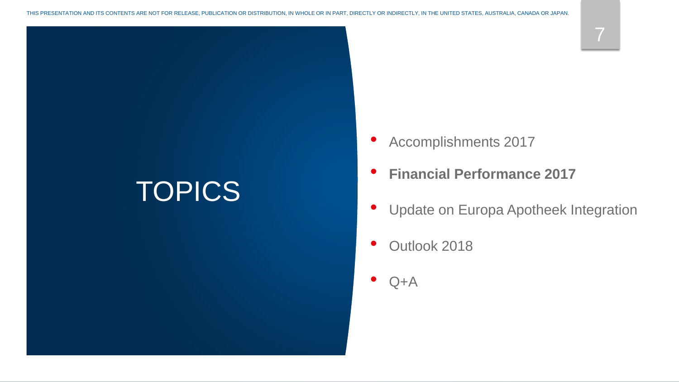# **TOPICS**

- Accomplishments 2017
- **Financial Performance 2017**
- Update on Europa Apotheek Integration
- Outlook 2018
- $Q+A$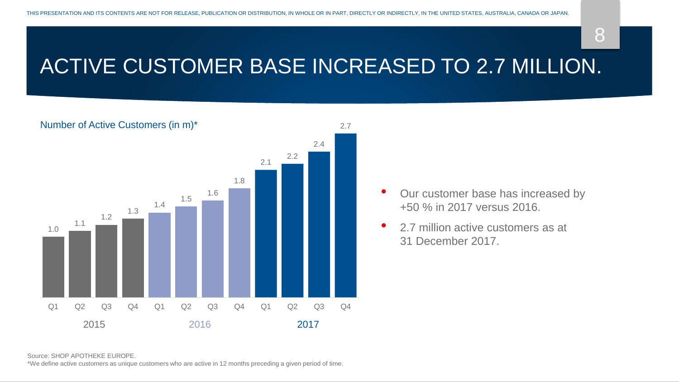8

## ACTIVE CUSTOMER BASE INCREASED TO 2.7 MILLION.



- Our customer base has increased by +50 % in 2017 versus 2016.
- 2.7 million active customers as at 31 December 2017.

Source: SHOP APOTHEKE EUROPE.

\*We define active customers as unique customers who are active in 12 months preceding a given period of time.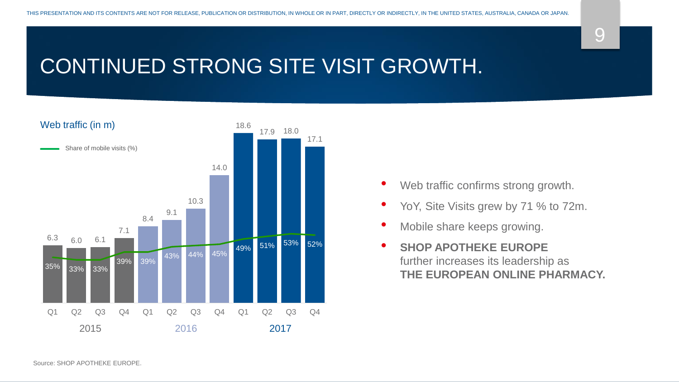## CONTINUED STRONG SITE VISIT GROWTH.



- Web traffic confirms strong growth.
- YoY, Site Visits grew by 71 % to 72m.
- Mobile share keeps growing.
- **SHOP APOTHEKE EUROPE**  further increases its leadership as **THE EUROPEAN ONLINE PHARMACY.**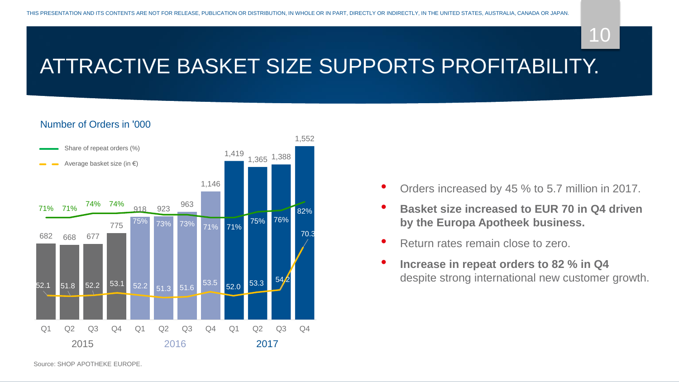## ATTRACTIVE BASKET SIZE SUPPORTS PROFITABILITY.

#### Number of Orders in '000



- Orders increased by 45 % to 5.7 million in 2017.
- **Basket size increased to EUR 70 in Q4 driven by the Europa Apotheek business.**
- Return rates remain close to zero.
- **Increase in repeat orders to 82 % in Q4**  despite strong international new customer growth.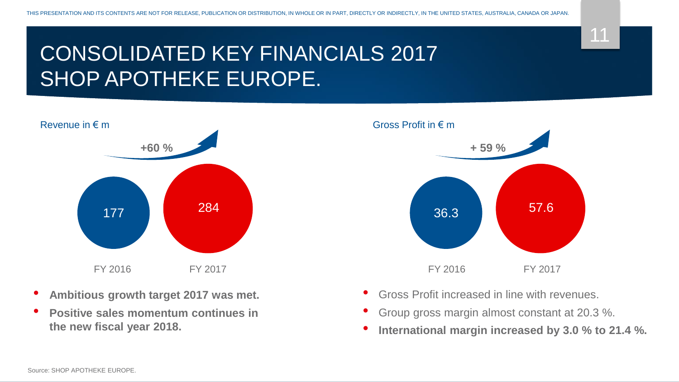## CONSOLIDATED KEY FINANCIALS 2017 SHOP APOTHEKE EUROPE.



- **Ambitious growth target 2017 was met.**
- **Positive sales momentum continues in the new fiscal year 2018.**



- Gross Profit increased in line with revenues.
- Group gross margin almost constant at 20.3 %.
- **International margin increased by 3.0 % to 21.4 %.**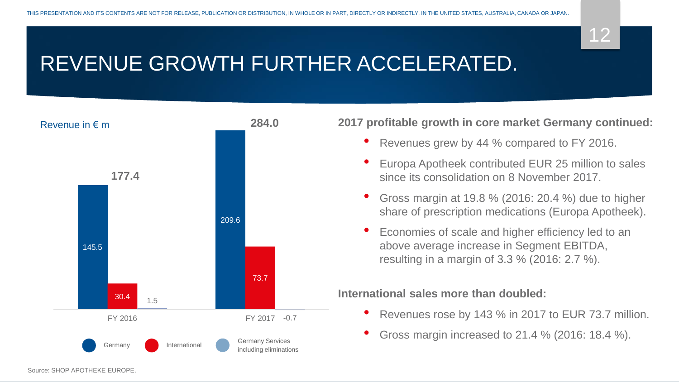## REVENUE GROWTH FURTHER ACCELERATED.



**2017 profitable growth in core market Germany continued:**

- Revenues grew by 44 % compared to FY 2016.
- Europa Apotheek contributed EUR 25 million to sales since its consolidation on 8 November 2017.
- Gross margin at 19.8 % (2016: 20.4 %) due to higher share of prescription medications (Europa Apotheek).
- Economies of scale and higher efficiency led to an above average increase in Segment EBITDA, resulting in a margin of 3.3 % (2016: 2.7 %).

### **International sales more than doubled:**

- Revenues rose by 143 % in 2017 to EUR 73.7 million.
- Gross margin increased to 21.4 % (2016: 18.4 %).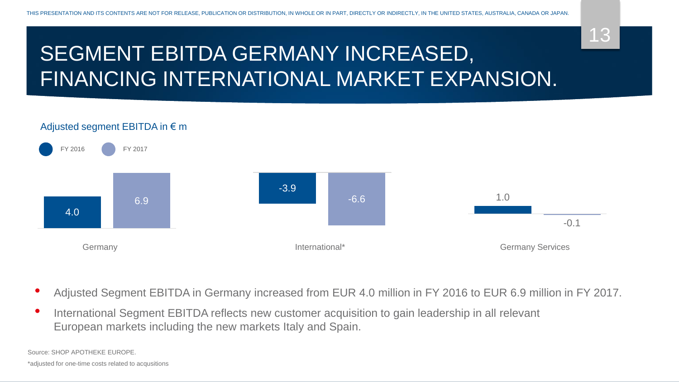## SEGMENT EBITDA GERMANY INCREASED, FINANCING INTERNATIONAL MARKET EXPANSION.

### Adjusted segment EBITDA in € m



- Adjusted Segment EBITDA in Germany increased from EUR 4.0 million in FY 2016 to EUR 6.9 million in FY 2017.
- International Segment EBITDA reflects new customer acquisition to gain leadership in all relevant European markets including the new markets Italy and Spain.

Source: SHOP APOTHEKE EUROPE.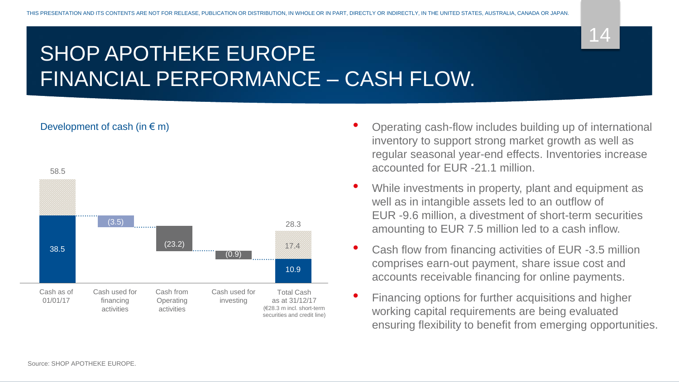## SHOP APOTHEKE EUROPE FINANCIAL PERFORMANCE – CASH FLOW.



- Operating cash-flow includes building up of international inventory to support strong market growth as well as regular seasonal year-end effects. Inventories increase accounted for EUR -21.1 million.
- While investments in property, plant and equipment as well as in intangible assets led to an outflow of EUR -9.6 million, a divestment of short-term securities amounting to EUR 7.5 million led to a cash inflow.
- Cash flow from financing activities of EUR -3.5 million comprises earn-out payment, share issue cost and accounts receivable financing for online payments.
- Financing options for further acquisitions and higher working capital requirements are being evaluated ensuring flexibility to benefit from emerging opportunities.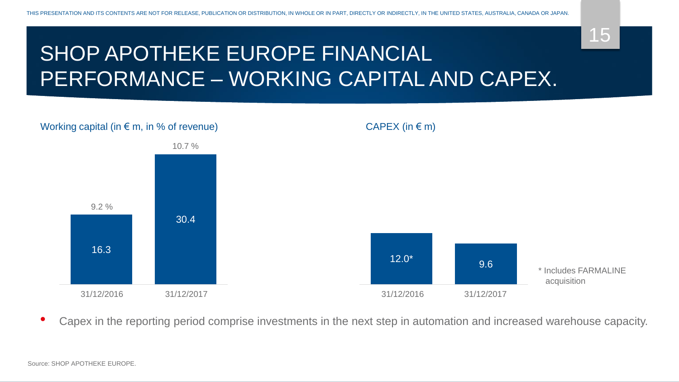## SHOP APOTHEKE EUROPE FINANCIAL PERFORMANCE – WORKING CAPITAL AND CAPEX.



• Capex in the reporting period comprise investments in the next step in automation and increased warehouse capacity.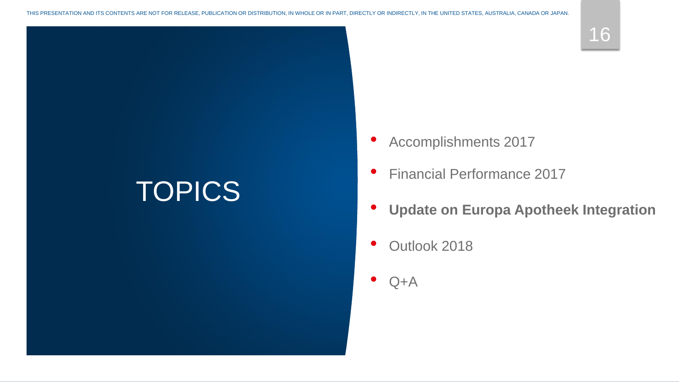# **TOPICS**

- Accomplishments 2017
- Financial Performance 2017
- **Update on Europa Apotheek Integration**
- Outlook 2018
- $Q+A$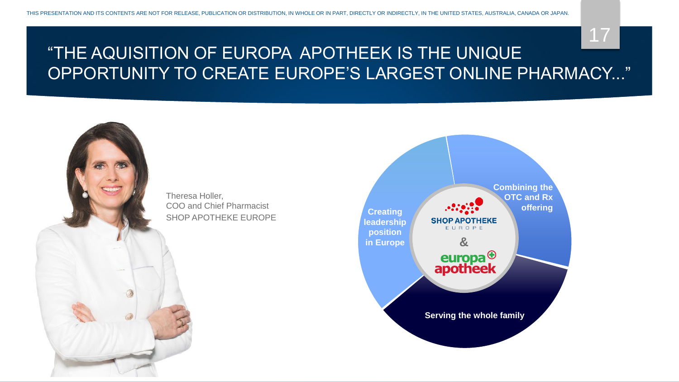#### Theresa Holler, COO and Chief Pharmacist SHOP APOTHEKE EUROPE



### 17 "THE AQUISITION OF EUROPA APOTHEEK IS THE UNIQUE OPPORTUNITY TO CREATE EUROPE'S LARGEST ONLINE PHARMACY..."

THIS PRESENTATION AND ITS CONTENTS ARE NOT FOR RELEASE, PUBLICATION OR DISTRIBUTION, IN WHOLE OR IN PART, DIRECTLY OR INDIRECTLY, IN THE UNITED STATES, AUSTRALIA, CANADA OR JAPAN.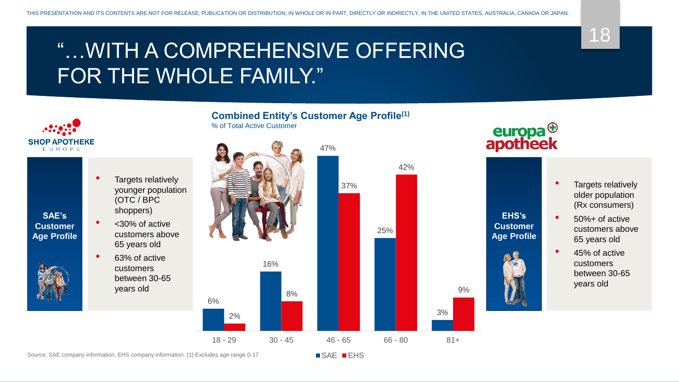## "…WITH A COMPREHENSIVE OFFERING FOR THE WHOLE FAMILY."



• 63% of active customers between 30-65 years old



# europa<sup>⊕</sup><br>apotheek

• Targets relatively older population (Rx consumers) • 50%+ of active customers above 65 years old • 45% of active customers between 30-65 years old **EHS's Customer Age Profile**

SAE **EHS**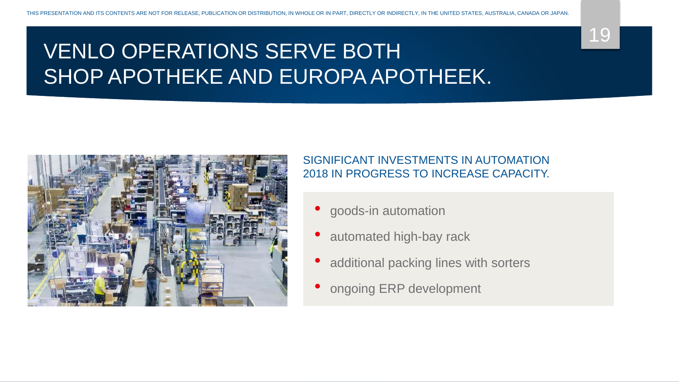## VENLO OPERATIONS SERVE BOTH SHOP APOTHEKE AND EUROPA APOTHEEK.



### SIGNIFICANT INVESTMENTS IN AUTOMATION 2018 IN PROGRESS TO INCREASE CAPACITY.

- goods-in automation
- automated high-bay rack
- additional packing lines with sorters
- ongoing ERP development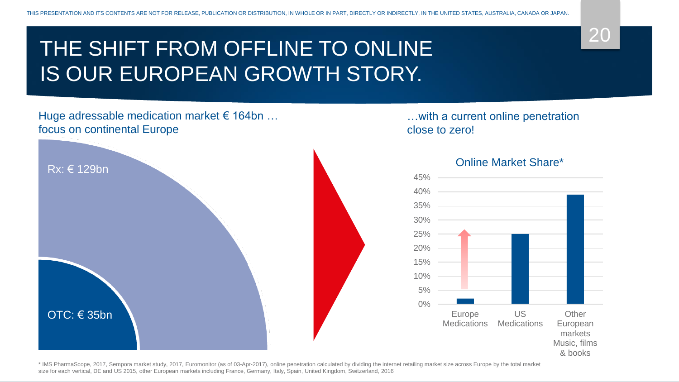## THE SHIFT FROM OFFLINE TO ONLINE IS OUR EUROPEAN GROWTH STORY.

### Huge adressable medication market  $\epsilon$  164bn ... focus on continental Europe



…with a current online penetration close to zero!



#### Online Market Share\*

\* IMS PharmaScope, 2017, Sempora market study, 2017, Euromonitor (as of 03-Apr-2017), online penetration calculated by dividing the internet retailing market size across Europe by the total market size for each vertical, DE and US 2015, other European markets including France, Germany, Italy, Spain, United Kingdom, Switzerland, 2016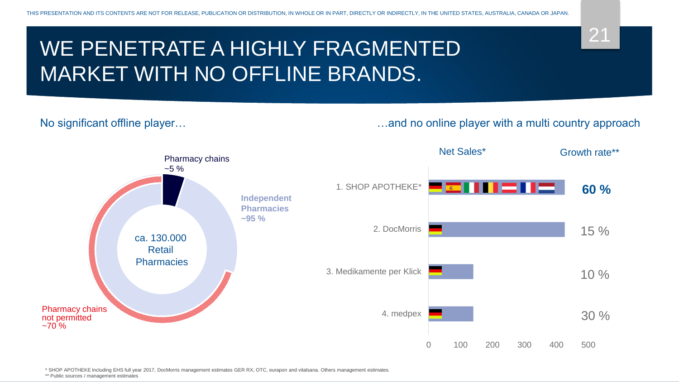## WE PENETRATE A HIGHLY FRAGMENTED MARKET WITH NO OFFLINE BRANDS.

#### No significant offline player… **Exercise 20** Most control mand no online player with a multi country approach

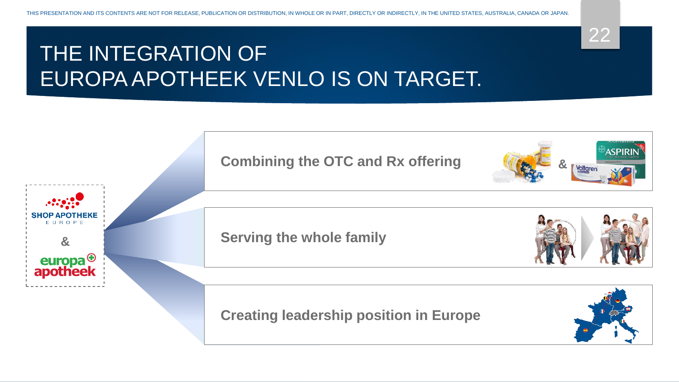## THE INTEGRATION OF EUROPA APOTHEEK VENLO IS ON TARGET.



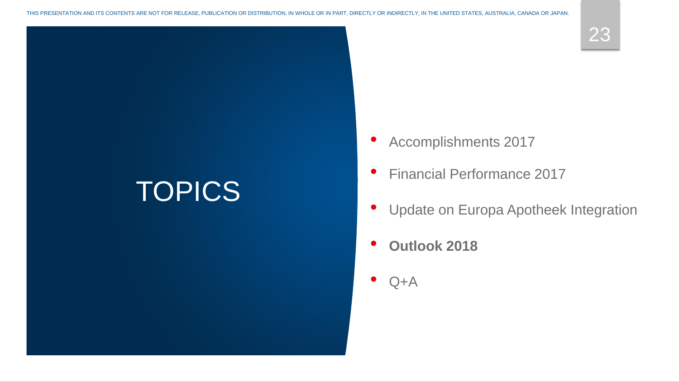# **TOPICS**

- Accomplishments 2017
- Financial Performance 2017
- Update on Europa Apotheek Integration
- **Outlook 2018**
- $Q+A$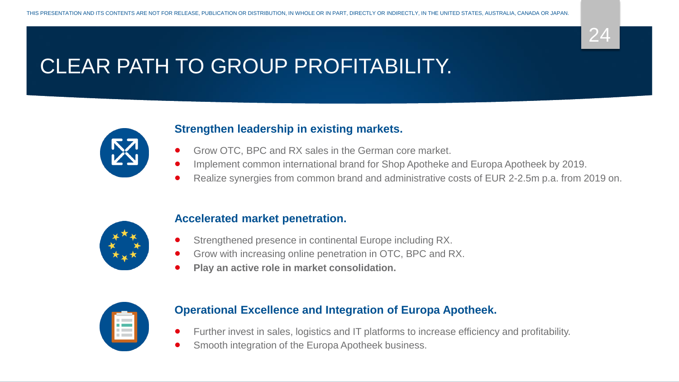

## CLEAR PATH TO GROUP PROFITABILITY.



### **Strengthen leadership in existing markets.**

- Grow OTC, BPC and RX sales in the German core market.
- Implement common international brand for Shop Apotheke and Europa Apotheek by 2019.
- Realize synergies from common brand and administrative costs of EUR 2-2.5m p.a. from 2019 on.



### **Accelerated market penetration.**

- Strengthened presence in continental Europe including RX.
- Grow with increasing online penetration in OTC, BPC and RX.
- **Play an active role in market consolidation.**



### **Operational Excellence and Integration of Europa Apotheek.**

- Further invest in sales, logistics and IT platforms to increase efficiency and profitability.
- Smooth integration of the Europa Apotheek business.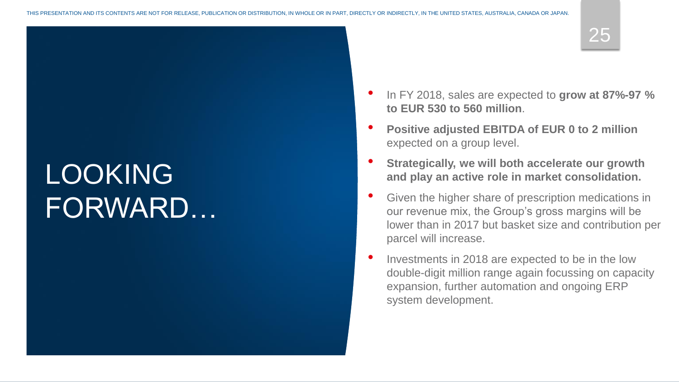# LOOKING FORWARD…

- In FY 2018, sales are expected to **grow at 87%-97 % to EUR 530 to 560 million**.
- **Positive adjusted EBITDA of EUR 0 to 2 million**  expected on a group level.
- **Strategically, we will both accelerate our growth and play an active role in market consolidation.**
- Given the higher share of prescription medications in our revenue mix, the Group's gross margins will be lower than in 2017 but basket size and contribution per parcel will increase.
- Investments in 2018 are expected to be in the low double-digit million range again focussing on capacity expansion, further automation and ongoing ERP system development.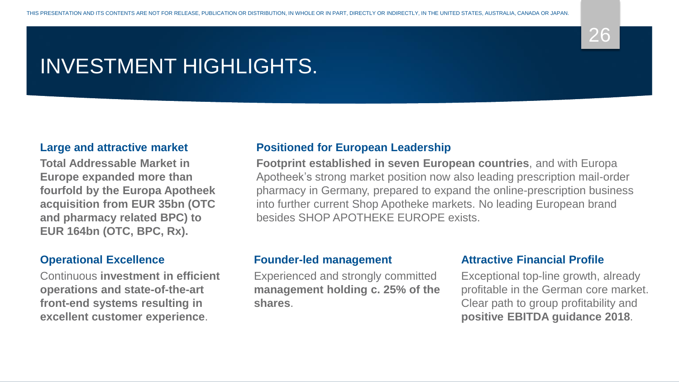## INVESTMENT HIGHLIGHTS.

#### **Large and attractive market**

**Total Addressable Market in Europe expanded more than fourfold by the Europa Apotheek acquisition from EUR 35bn (OTC and pharmacy related BPC) to EUR 164bn (OTC, BPC, Rx).**

#### **Operational Excellence**

Continuous **investment in efficient operations and state-of-the-art front-end systems resulting in excellent customer experience**.

### **Positioned for European Leadership**

**Footprint established in seven European countries**, and with Europa Apotheek's strong market position now also leading prescription mail-order pharmacy in Germany, prepared to expand the online-prescription business into further current Shop Apotheke markets. No leading European brand besides SHOP APOTHEKE EUROPE exists.

#### **Founder-led management**

Experienced and strongly committed **management holding c. 25% of the shares**.

### **Attractive Financial Profile**

Exceptional top-line growth, already profitable in the German core market. Clear path to group profitability and **positive EBITDA guidance 2018**.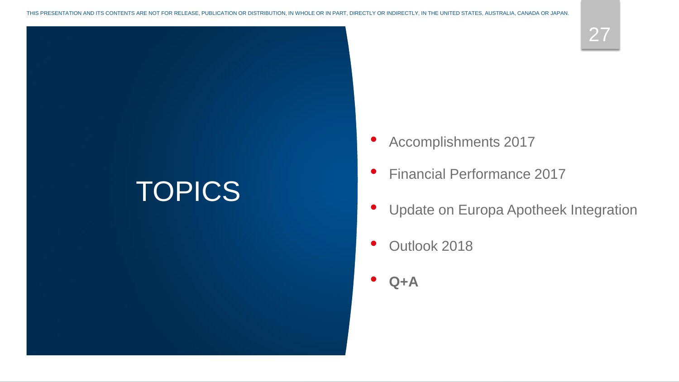# **TOPICS**

27

- Accomplishments 2017
- Financial Performance 2017
- Update on Europa Apotheek Integration
- Outlook 2018
- **Q+A**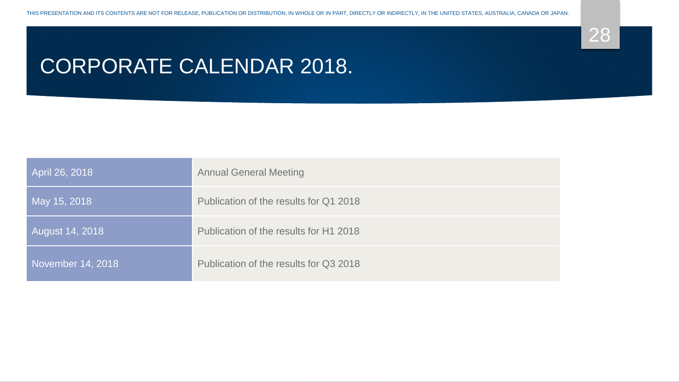

## CORPORATE CALENDAR 2018.

| April 26, 2018    | <b>Annual General Meeting</b>          |
|-------------------|----------------------------------------|
| May 15, 2018      | Publication of the results for Q1 2018 |
| August 14, 2018   | Publication of the results for H1 2018 |
| November 14, 2018 | Publication of the results for Q3 2018 |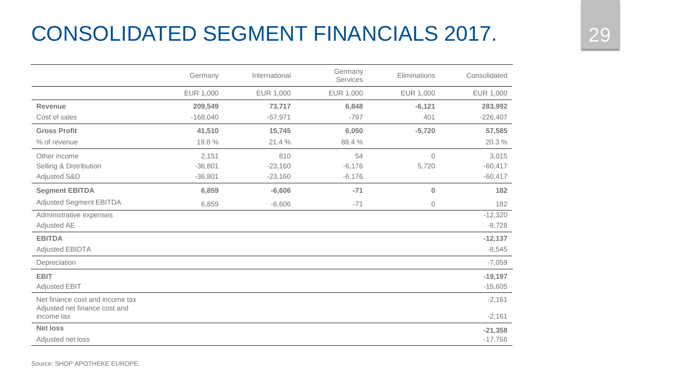## CONSOLIDATED SEGMENT FINANCIALS 2017. 29

|                                                                  | Germany    | International | Germany<br>Services | Eliminations   | Consolidated |
|------------------------------------------------------------------|------------|---------------|---------------------|----------------|--------------|
|                                                                  | EUR 1,000  | EUR 1,000     | EUR 1,000           | EUR 1,000      | EUR 1,000    |
| <b>Revenue</b>                                                   | 209,549    | 73,717        | 6,848               | $-6,121$       | 283,992      |
| Cost of sales                                                    | $-168,040$ | $-57,971$     | $-797$              | 401            | $-226,407$   |
| <b>Gross Profit</b>                                              | 41,510     | 15,745        | 6,050               | $-5,720$       | 57,585       |
| % of revenue                                                     | 19.8%      | 21.4%         | 88.4 %              |                | 20.3 %       |
| Other income                                                     | 2,151      | 810           | 54                  | $\overline{0}$ | 3,015        |
| Selling & Distribution                                           | $-36,801$  | $-23,160$     | $-6,176$            | 5,720          | $-60,417$    |
| Adjusted S&D                                                     | $-36,801$  | $-23,160$     | $-6,176$            |                | $-60,417$    |
| <b>Segment EBITDA</b>                                            | 6,859      | $-6,606$      | $-71$               | $\bf{0}$       | 182          |
| <b>Adjusted Segment EBITDA</b>                                   | 6,859      | $-6,606$      | $-71$               | $\circ$        | 182          |
| Administrative expenses                                          |            |               |                     |                | $-12,320$    |
| Adjusted AE                                                      |            |               |                     |                | $-8,728$     |
| <b>EBITDA</b>                                                    |            |               |                     |                | $-12,137$    |
| <b>Adjusted EBIDTA</b>                                           |            |               |                     |                | $-8,545$     |
| Depreciation                                                     |            |               |                     |                | $-7,059$     |
| <b>EBIT</b>                                                      |            |               |                     |                | $-19,197$    |
| <b>Adjusted EBIT</b>                                             |            |               |                     |                | $-15,605$    |
| Net finance cost and income tax<br>Adjusted net finance cost and |            |               |                     |                | $-2,161$     |
| income tax                                                       |            |               |                     |                | $-2,161$     |
| <b>Net loss</b>                                                  |            |               |                     |                | $-21,358$    |
| Adjusted net loss                                                |            |               |                     |                | $-17,766$    |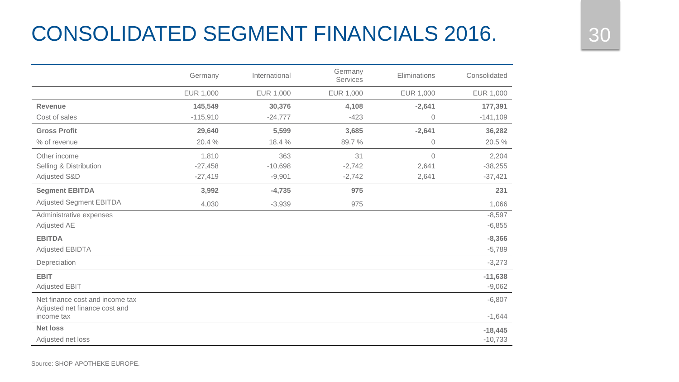## CONSOLIDATED SEGMENT FINANCIALS 2016. 2016

|                                                                  | Germany    | International | Germany<br>Services | Eliminations | Consolidated |
|------------------------------------------------------------------|------------|---------------|---------------------|--------------|--------------|
|                                                                  | EUR 1,000  | EUR 1,000     | EUR 1,000           | EUR 1,000    | EUR 1,000    |
| <b>Revenue</b>                                                   | 145,549    | 30,376        | 4,108               | $-2,641$     | 177,391      |
| Cost of sales                                                    | $-115,910$ | $-24,777$     | $-423$              | $\mathbf 0$  | $-141,109$   |
| <b>Gross Profit</b>                                              | 29,640     | 5,599         | 3,685               | $-2,641$     | 36,282       |
| % of revenue                                                     | 20.4 %     | 18.4%         | 89.7%               | $\mathbf 0$  | 20.5 %       |
| Other income                                                     | 1,810      | 363           | 31                  | $\Omega$     | 2,204        |
| Selling & Distribution                                           | $-27,458$  | $-10,698$     | $-2,742$            | 2,641        | $-38,255$    |
| Adjusted S&D                                                     | $-27,419$  | $-9,901$      | $-2,742$            | 2,641        | $-37,421$    |
| <b>Segment EBITDA</b>                                            | 3,992      | $-4,735$      | 975                 |              | 231          |
| <b>Adjusted Segment EBITDA</b>                                   | 4,030      | $-3,939$      | 975                 |              | 1,066        |
| Administrative expenses                                          |            |               |                     |              | $-8,597$     |
| Adjusted AE                                                      |            |               |                     |              | $-6,855$     |
| <b>EBITDA</b>                                                    |            |               |                     |              | $-8,366$     |
| <b>Adjusted EBIDTA</b>                                           |            |               |                     |              | $-5,789$     |
| Depreciation                                                     |            |               |                     |              | $-3,273$     |
| <b>EBIT</b>                                                      |            |               |                     |              | $-11,638$    |
| <b>Adjusted EBIT</b>                                             |            |               |                     |              | $-9,062$     |
| Net finance cost and income tax<br>Adjusted net finance cost and |            |               |                     |              | $-6,807$     |
| income tax                                                       |            |               |                     |              | $-1,644$     |
| <b>Net loss</b>                                                  |            |               |                     |              | $-18,445$    |
| Adjusted net loss                                                |            |               |                     |              | $-10,733$    |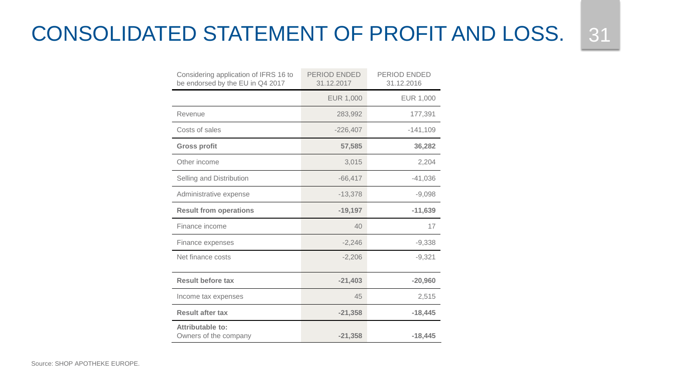## CONSOLIDATED STATEMENT OF PROFIT AND LOSS. 31

| Considering application of IFRS 16 to<br>be endorsed by the EU in Q4 2017 | PERIOD ENDED<br>31.12.2017 | PERIOD ENDED<br>31.12.2016 |
|---------------------------------------------------------------------------|----------------------------|----------------------------|
|                                                                           | EUR 1,000                  | EUR 1,000                  |
| Revenue                                                                   | 283,992                    | 177,391                    |
| Costs of sales                                                            | $-226,407$                 | $-141,109$                 |
| <b>Gross profit</b>                                                       | 57,585                     | 36,282                     |
| Other income                                                              | 3,015                      | 2,204                      |
| Selling and Distribution                                                  | $-66,417$                  | $-41,036$                  |
| Administrative expense                                                    | $-13,378$                  | $-9,098$                   |
| <b>Result from operations</b>                                             | $-19,197$                  | $-11,639$                  |
| Finance income                                                            | 40                         | 17                         |
| Finance expenses                                                          | $-2,246$                   | $-9,338$                   |
| Net finance costs                                                         | $-2,206$                   | $-9,321$                   |
| <b>Result before tax</b>                                                  | $-21,403$                  | $-20,960$                  |
| Income tax expenses                                                       | 45                         | 2,515                      |
| <b>Result after tax</b>                                                   | $-21,358$                  | $-18,445$                  |
| Attributable to:<br>Owners of the company                                 | $-21,358$                  | $-18.445$                  |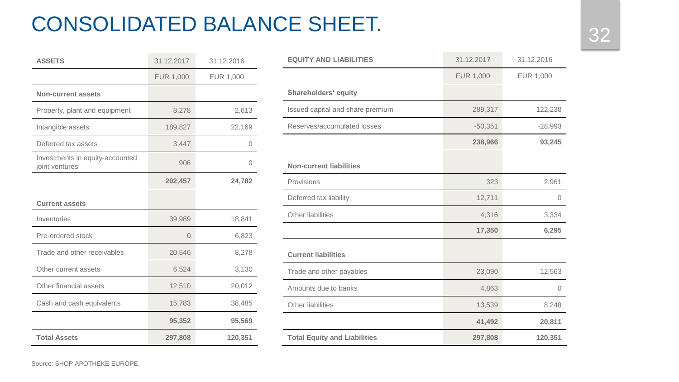# <sup>32</sup> CONSOLIDATED BALANCE SHEET.

| <b>ASSETS</b>                                     | 31.12.2017       | 31.12.2016 |
|---------------------------------------------------|------------------|------------|
|                                                   | <b>EUR 1,000</b> | EUR 1,000  |
| <b>Non-current assets</b>                         |                  |            |
| Property, plant and equipment                     | 8,278            | 2,613      |
| Intangible assets                                 | 189,827          | 22,169     |
| Deferred tax assets                               | 3,447            | 0          |
| Investments in equity-accounted<br>joint ventures | 906              | Ω          |
|                                                   | 202,457          | 24,782     |
| <b>Current assets</b>                             |                  |            |
| Inventories                                       | 39,989           | 18,841     |
| Pre-ordered stock                                 | $\Omega$         | 6,823      |
| Trade and other receivables                       | 20,546           | 8,278      |
| Other current assets                              | 6,524            | 3,130      |
| Other financial assets                            | 12,510           | 20,012     |
| Cash and cash equivalents                         | 15,783           | 38,485     |
|                                                   | 95,352           | 95,569     |
| <b>Total Assets</b>                               | 297,808          | 120,351    |

| <b>EQUITY AND LIABILITIES</b>       | 31.12.2017       | 31.12.2016     |
|-------------------------------------|------------------|----------------|
|                                     | <b>EUR 1,000</b> | EUR 1,000      |
| <b>Shareholders' equity</b>         |                  |                |
| Issued capital and share premium    | 289,317          | 122,238        |
| Reserves/accumulated losses         | $-50,351$        | $-28,993$      |
|                                     | 238,966          | 93,245         |
| <b>Non-current liabilities</b>      |                  |                |
| Provisions                          | 323              | 2,961          |
| Deferred tax liability              | 12,711           | $\Omega$       |
| <b>Other liabilities</b>            | 4,316            | 3,334          |
|                                     | 17,350           | 6,295          |
| <b>Current liabilities</b>          |                  |                |
| Trade and other payables            | 23,090           | 12,563         |
| Amounts due to banks                | 4,863            | $\overline{0}$ |
| <b>Other liabilities</b>            | 13,539           | 8,248          |
|                                     | 41,492           | 20,811         |
| <b>Total Equity and Liabilities</b> | 297,808          | 120,351        |